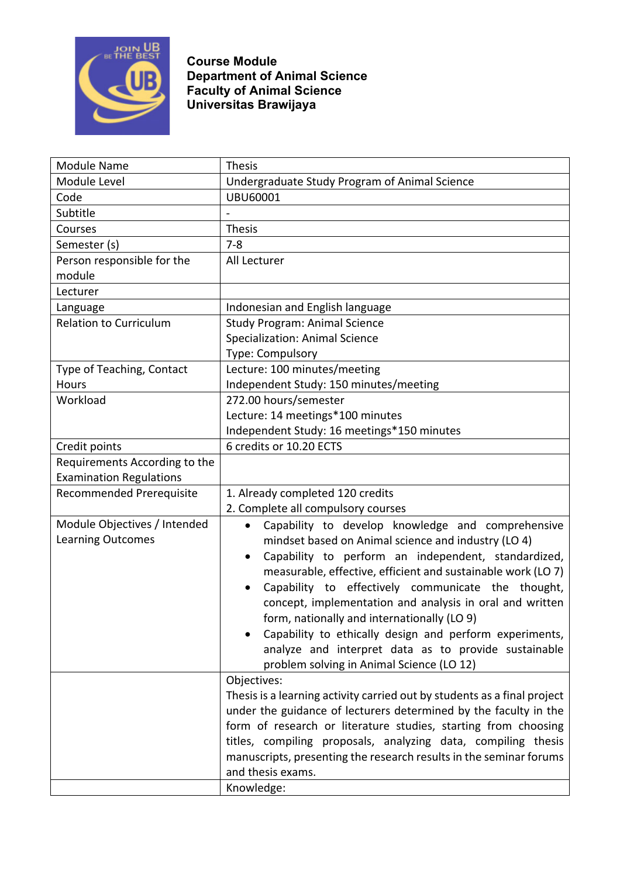

**Course Module Department of Animal Science Faculty of Animal Science Universitas Brawijaya**

| <b>Module Name</b>             | <b>Thesis</b>                                                            |
|--------------------------------|--------------------------------------------------------------------------|
| Module Level                   | Undergraduate Study Program of Animal Science                            |
| Code                           | <b>UBU60001</b>                                                          |
| Subtitle                       |                                                                          |
| Courses                        | <b>Thesis</b>                                                            |
| Semester (s)                   | $7 - 8$                                                                  |
| Person responsible for the     | All Lecturer                                                             |
| module                         |                                                                          |
| Lecturer                       |                                                                          |
| Language                       | Indonesian and English language                                          |
| <b>Relation to Curriculum</b>  | <b>Study Program: Animal Science</b>                                     |
|                                | <b>Specialization: Animal Science</b>                                    |
|                                | Type: Compulsory                                                         |
| Type of Teaching, Contact      | Lecture: 100 minutes/meeting                                             |
| Hours                          | Independent Study: 150 minutes/meeting                                   |
| Workload                       | 272.00 hours/semester                                                    |
|                                | Lecture: 14 meetings*100 minutes                                         |
|                                | Independent Study: 16 meetings*150 minutes                               |
| Credit points                  | 6 credits or 10.20 ECTS                                                  |
| Requirements According to the  |                                                                          |
| <b>Examination Regulations</b> |                                                                          |
| Recommended Prerequisite       | 1. Already completed 120 credits                                         |
|                                | 2. Complete all compulsory courses                                       |
| Module Objectives / Intended   | Capability to develop knowledge and comprehensive<br>$\bullet$           |
| <b>Learning Outcomes</b>       | mindset based on Animal science and industry (LO 4)                      |
|                                | Capability to perform an independent, standardized,<br>٠                 |
|                                | measurable, effective, efficient and sustainable work (LO 7)             |
|                                | Capability to effectively communicate the thought,                       |
|                                | concept, implementation and analysis in oral and written                 |
|                                | form, nationally and internationally (LO 9)                              |
|                                | Capability to ethically design and perform experiments,                  |
|                                | analyze and interpret data as to provide sustainable                     |
|                                | problem solving in Animal Science (LO 12)                                |
|                                | Objectives:                                                              |
|                                | Thesis is a learning activity carried out by students as a final project |
|                                | under the guidance of lecturers determined by the faculty in the         |
|                                | form of research or literature studies, starting from choosing           |
|                                | titles, compiling proposals, analyzing data, compiling thesis            |
|                                | manuscripts, presenting the research results in the seminar forums       |
|                                | and thesis exams.                                                        |
|                                | Knowledge:                                                               |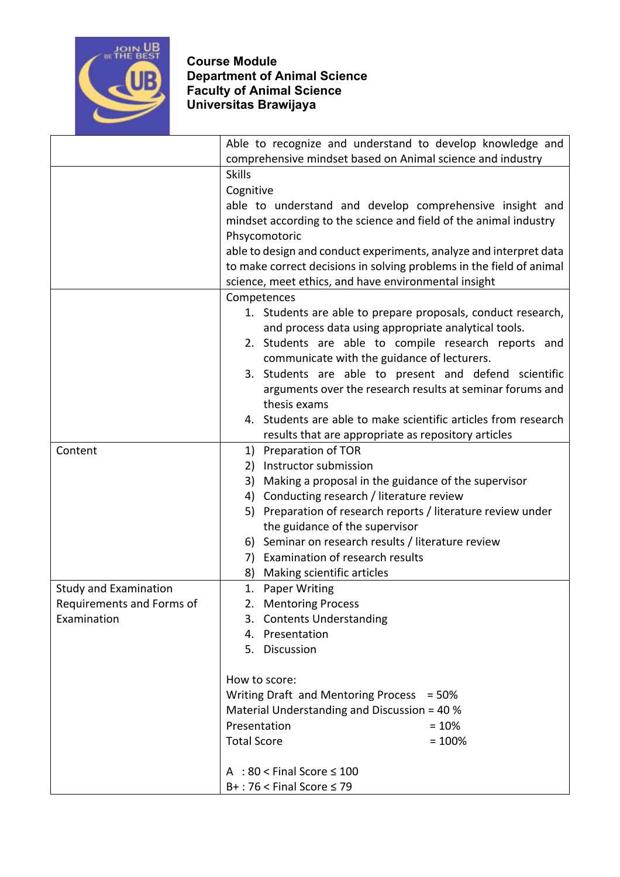

## **Course Module Department of Animal Science Faculty of Animal Science Universitas Brawijaya**

|                              | Able to recognize and understand to develop knowledge and                 |
|------------------------------|---------------------------------------------------------------------------|
|                              | comprehensive mindset based on Animal science and industry                |
|                              | <b>Skills</b>                                                             |
|                              | Cognitive                                                                 |
|                              | able to understand and develop comprehensive insight and                  |
|                              | mindset according to the science and field of the animal industry         |
|                              | Phsycomotoric                                                             |
|                              | able to design and conduct experiments, analyze and interpret data        |
|                              | to make correct decisions in solving problems in the field of animal      |
|                              | science, meet ethics, and have environmental insight                      |
|                              | Competences                                                               |
|                              | 1. Students are able to prepare proposals, conduct research,              |
|                              | and process data using appropriate analytical tools.                      |
|                              | 2. Students are able to compile research reports and                      |
|                              | communicate with the guidance of lecturers.                               |
|                              | 3. Students are able to present and defend scientific                     |
|                              | arguments over the research results at seminar forums and<br>thesis exams |
|                              | 4. Students are able to make scientific articles from research            |
|                              | results that are appropriate as repository articles                       |
| Content                      | 1) Preparation of TOR                                                     |
|                              | 2) Instructor submission                                                  |
|                              | 3) Making a proposal in the guidance of the supervisor                    |
|                              | 4) Conducting research / literature review                                |
|                              | 5) Preparation of research reports / literature review under              |
|                              | the guidance of the supervisor                                            |
|                              | 6) Seminar on research results / literature review                        |
|                              | Examination of research results<br>7)                                     |
|                              | Making scientific articles<br>8)                                          |
| <b>Study and Examination</b> | <b>Paper Writing</b><br>1.                                                |
| Requirements and Forms of    | 2. Mentoring Process                                                      |
| Examination                  | 3. Contents Understanding                                                 |
|                              | 4. Presentation                                                           |
|                              | 5. Discussion                                                             |
|                              |                                                                           |
|                              | How to score:                                                             |
|                              | Writing Draft and Mentoring Process<br>$= 50%$                            |
|                              | Material Understanding and Discussion = 40 %                              |
|                              | Presentation<br>$= 10%$                                                   |
|                              | <b>Total Score</b><br>$= 100%$                                            |
|                              |                                                                           |
|                              | A : $80 <$ Final Score $\leq 100$                                         |
|                              | $B+$ : 76 < Final Score $\leq$ 79                                         |